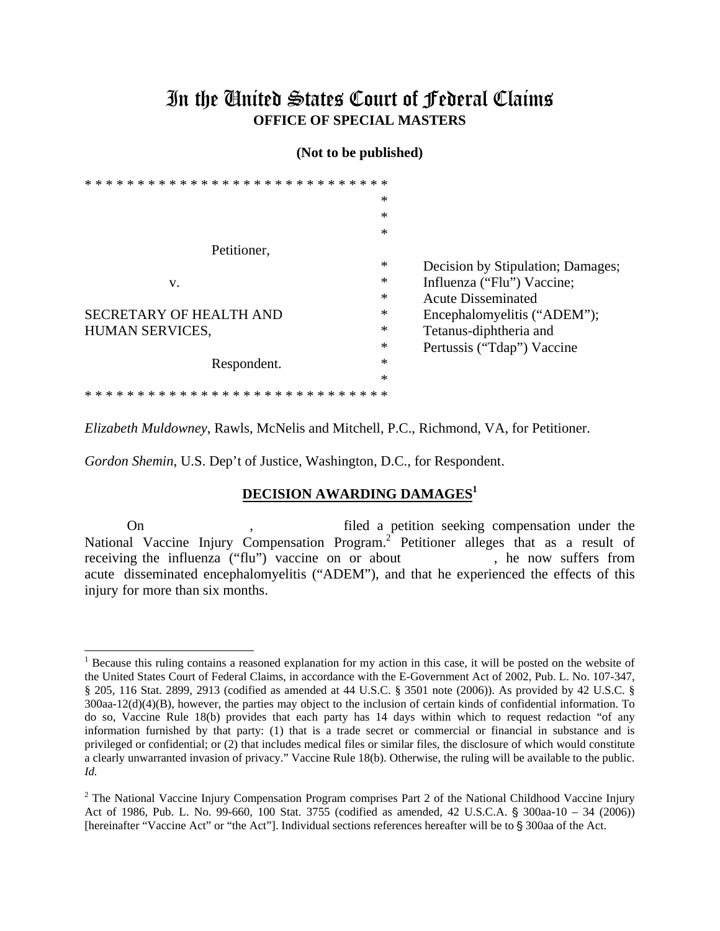## In the Ginited States Court of Federal Claims **OFFICE OF SPECIAL MASTERS**

## (Not to be published)

|                             | *      |                                   |
|-----------------------------|--------|-----------------------------------|
|                             | *      |                                   |
|                             | *      |                                   |
| Petitioner,                 |        |                                   |
|                             | $\ast$ | Decision by Stipulation; Damages; |
| V.                          | ∗      | Influenza ("Flu") Vaccine;        |
|                             | $\ast$ | <b>Acute Disseminated</b>         |
| SECRETARY OF HEALTH AND     | *      | Encephalomyelitis ("ADEM");       |
| HUMAN SERVICES,             | *      | Tetanus-diphtheria and            |
|                             | $\ast$ | Pertussis ("Tdap") Vaccine        |
| Respondent.                 | $\ast$ |                                   |
|                             | *      |                                   |
| *************************** |        |                                   |

Elizabeth Muldowney, Rawls, McNelis and Mitchell, P.C., Richmond, VA, for Petitioner.

Gordon Shemin, U.S. Dep't of Justice, Washington, D.C., for Respondent.

## DECISION AWARDING DAMAGES<sup>1</sup>

filed a petition seeking compensation under the  $On$ National Vaccine Injury Compensation Program.<sup>2</sup> Petitioner alleges that as a result of receiving the influenza ("flu") vaccine on or about , he now suffers from acute disseminated encephalomyelitis ("ADEM"), and that he experienced the effects of this injury for more than six months.

<sup>&</sup>lt;sup>1</sup> Because this ruling contains a reasoned explanation for my action in this case, it will be posted on the website of the United States Court of Federal Claims, in accordance with the E-Government Act of 2002, Pub. L. No. 107-347, § 205, 116 Stat. 2899, 2913 (codified as amended at 44 U.S.C. § 3501 note (2006)). As provided by 42 U.S.C. §  $300$ aa- $12(d)(4)(B)$ , however, the parties may object to the inclusion of certain kinds of confidential information. To do so, Vaccine Rule 18(b) provides that each party has 14 days within which to request redaction "of any information furnished by that party: (1) that is a trade secret or commercial or financial in substance and is privileged or confidential; or (2) that includes medical files or similar files, the disclosure of which would constitute a clearly unwarranted invasion of privacy." Vaccine Rule 18(b). Otherwise, the ruling will be available to the public. Id.

<sup>&</sup>lt;sup>2</sup> The National Vaccine Injury Compensation Program comprises Part 2 of the National Childhood Vaccine Injury Act of 1986, Pub. L. No. 99-660, 100 Stat. 3755 (codified as amended, 42 U.S.C.A. § 300aa-10 - 34 (2006)) [hereinafter "Vaccine Act" or "the Act"]. Individual sections references hereafter will be to § 300aa of the Act.